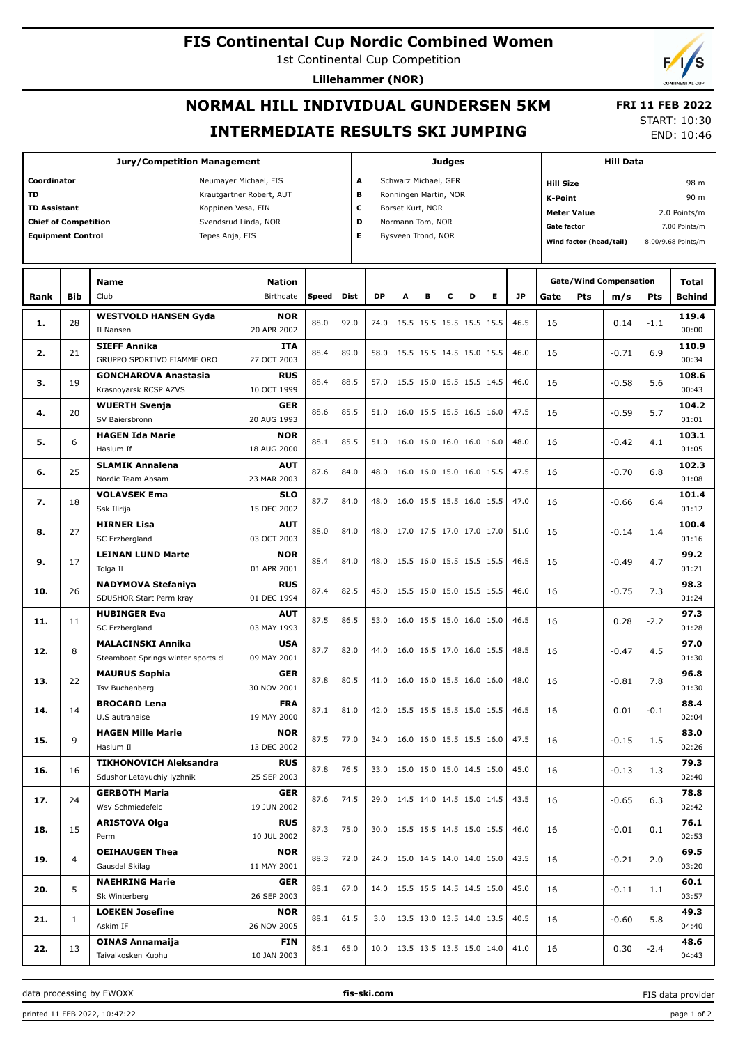### **FIS Continental Cup Nordic Combined Women**

1st Continental Cup Competition

**Lillehammer (NOR)**

# **NORMAL HILL INDIVIDUAL GUNDERSEN 5KM INTERMEDIATE RESULTS SKI JUMPING**

 **FRI 11 FEB 2022** START: 10:30

END: 10:46

| <b>Jury/Competition Management</b>                  |                                             |                                    |                            |       |              |                       | <b>Judges</b>            |                          |                          |                          |                                                          |                         |      | <b>Hill Data</b> |         |                                                                                                                                                                                                                                                                                    |               |  |
|-----------------------------------------------------|---------------------------------------------|------------------------------------|----------------------------|-------|--------------|-----------------------|--------------------------|--------------------------|--------------------------|--------------------------|----------------------------------------------------------|-------------------------|------|------------------|---------|------------------------------------------------------------------------------------------------------------------------------------------------------------------------------------------------------------------------------------------------------------------------------------|---------------|--|
| Coordinator                                         |                                             |                                    | A<br>Schwarz Michael, GER  |       |              |                       |                          |                          |                          | <b>Hill Size</b><br>98 m |                                                          |                         |      |                  |         |                                                                                                                                                                                                                                                                                    |               |  |
| TD                                                  |                                             |                                    | B<br>Ronningen Martin, NOR |       |              |                       |                          |                          | 90 m<br>K-Point          |                          |                                                          |                         |      |                  |         |                                                                                                                                                                                                                                                                                    |               |  |
| <b>TD Assistant</b>                                 |                                             | Koppinen Vesa, FIN                 |                            |       |              | c<br>Borset Kurt, NOR |                          |                          |                          |                          |                                                          |                         |      |                  |         |                                                                                                                                                                                                                                                                                    |               |  |
| <b>Chief of Competition</b><br>Svendsrud Linda, NOR |                                             |                                    |                            |       |              | D<br>Normann Tom, NOR |                          |                          |                          |                          | <b>Meter Value</b><br>2.0 Points/m<br><b>Gate factor</b> |                         |      |                  |         |                                                                                                                                                                                                                                                                                    |               |  |
|                                                     | <b>Equipment Control</b><br>Tepes Anja, FIS |                                    |                            |       |              | Е                     |                          | Bysveen Trond, NOR       |                          |                          |                                                          |                         |      |                  |         |                                                                                                                                                                                                                                                                                    |               |  |
|                                                     |                                             |                                    |                            |       |              |                       |                          |                          |                          |                          |                                                          | Wind factor (head/tail) |      |                  |         |                                                                                                                                                                                                                                                                                    |               |  |
|                                                     |                                             |                                    |                            |       |              |                       |                          |                          |                          |                          |                                                          |                         |      |                  |         |                                                                                                                                                                                                                                                                                    |               |  |
|                                                     |                                             |                                    |                            |       |              |                       |                          |                          |                          |                          | <b>Gate/Wind Compensation</b>                            |                         |      |                  |         |                                                                                                                                                                                                                                                                                    |               |  |
|                                                     |                                             | <b>Name</b>                        | <b>Nation</b>              |       |              |                       |                          |                          |                          |                          |                                                          |                         |      |                  |         |                                                                                                                                                                                                                                                                                    |               |  |
| Rank                                                | Bib                                         | Club                               | Birthdate                  | Speed | <b>Dist</b>  | <b>DP</b>             | A                        | в                        | c                        | D                        | E.                                                       | <b>JP</b>               | Gate | Pts              | m/s     |                                                                                                                                                                                                                                                                                    | <b>Behind</b> |  |
|                                                     |                                             | <b>WESTVOLD HANSEN Gyda</b>        | <b>NOR</b>                 | 88.0  | 97.0         | 74.0                  |                          |                          |                          | 15.5 15.5 15.5 15.5 15.5 |                                                          | 46.5                    |      |                  |         |                                                                                                                                                                                                                                                                                    | 119.4         |  |
| 1.                                                  | 28                                          | Il Nansen                          | 20 APR 2002                |       |              |                       |                          |                          |                          |                          |                                                          |                         | 16   |                  | 0.14    |                                                                                                                                                                                                                                                                                    | 00:00         |  |
|                                                     |                                             | <b>SIEFF Annika</b>                | ITA                        |       |              |                       |                          |                          |                          |                          |                                                          |                         |      |                  |         |                                                                                                                                                                                                                                                                                    | 110.9         |  |
| 2.                                                  | 21                                          | GRUPPO SPORTIVO FIAMME ORO         | 27 OCT 2003                | 88.4  | 89.0         | 58.0                  |                          |                          |                          | 15.5 15.5 14.5 15.0 15.5 |                                                          | 46.0                    | 16   |                  | $-0.71$ |                                                                                                                                                                                                                                                                                    | 00:34         |  |
|                                                     |                                             | <b>GONCHAROVA Anastasia</b>        | <b>RUS</b>                 |       |              |                       |                          |                          |                          |                          |                                                          |                         |      |                  |         |                                                                                                                                                                                                                                                                                    | 108.6         |  |
| з.                                                  | 19                                          | Krasnoyarsk RCSP AZVS              | 10 OCT 1999                | 88.4  | 88.5         | 57.0                  |                          |                          |                          | 15.5 15.0 15.5 15.5 14.5 |                                                          | 46.0                    | 16   |                  | $-0.58$ | 5.6                                                                                                                                                                                                                                                                                | 00:43         |  |
|                                                     |                                             | <b>WUERTH Svenja</b>               | <b>GER</b>                 |       |              |                       |                          |                          |                          |                          |                                                          |                         |      |                  |         |                                                                                                                                                                                                                                                                                    | 104.2         |  |
| 4.                                                  | 20                                          | SV Baiersbronn                     | 20 AUG 1993                | 88.6  | 85.5         | 51.0                  |                          |                          |                          | 16.0 15.5 15.5 16.5 16.0 |                                                          | 47.5                    | 16   |                  | $-0.59$ | 5.7                                                                                                                                                                                                                                                                                |               |  |
|                                                     |                                             |                                    |                            |       |              |                       |                          |                          |                          |                          |                                                          |                         |      |                  |         |                                                                                                                                                                                                                                                                                    |               |  |
| 5.                                                  | 6                                           | <b>HAGEN Ida Marie</b>             | <b>NOR</b>                 | 88.1  | 85.5         | 51.0                  |                          |                          |                          |                          | 16.0 16.0 16.0 16.0 16.0                                 | 48.0                    | 16   |                  | $-0.42$ | 4.1                                                                                                                                                                                                                                                                                |               |  |
|                                                     |                                             | Haslum If                          | 18 AUG 2000                |       |              |                       |                          |                          |                          |                          |                                                          |                         |      |                  |         |                                                                                                                                                                                                                                                                                    |               |  |
| 6.                                                  | 25                                          | <b>SLAMIK Annalena</b>             | <b>AUT</b>                 | 87.6  | 84.0         | 48.0                  |                          |                          |                          | 16.0 16.0 15.0 16.0 15.5 |                                                          | 47.5                    | 16   |                  | $-0.70$ | 7.00 Points/m<br>8.00/9.68 Points/m<br>Total<br>Pts<br>$-1.1$<br>6.9<br>01:01<br>103.1<br>01:05<br>6.8<br>6.4<br>1.4<br>4.7<br>7.3<br>97.3<br>$-2.2$<br>01:28<br>97.0<br>4.5<br>01:30<br>7.8<br>$-0.1$<br>1.5<br>1.3<br>6.3<br>0.1<br>69.5<br>2.0<br>03:20<br>1.1<br>5.8<br>$-2.4$ | 102.3         |  |
|                                                     |                                             | Nordic Team Absam                  | 23 MAR 2003                |       |              |                       |                          |                          |                          |                          |                                                          |                         |      |                  |         |                                                                                                                                                                                                                                                                                    | 01:08         |  |
| 7.                                                  | 18                                          | <b>VOLAVSEK Ema</b>                | <b>SLO</b>                 | 87.7  | 84.0         | 48.0                  |                          |                          |                          | 16.0 15.5 15.5 16.0 15.5 |                                                          | 47.0                    | 16   |                  | $-0.66$ |                                                                                                                                                                                                                                                                                    | 101.4         |  |
|                                                     |                                             | Ssk Ilirija                        | 15 DEC 2002                |       |              |                       |                          |                          |                          |                          |                                                          |                         |      |                  |         |                                                                                                                                                                                                                                                                                    | 01:12         |  |
|                                                     |                                             | <b>HIRNER Lisa</b>                 | <b>AUT</b>                 | 88.0  |              | 48.0                  |                          |                          |                          | 17.0 17.5 17.0 17.0 17.0 |                                                          |                         |      |                  |         |                                                                                                                                                                                                                                                                                    | 100.4         |  |
| 8.                                                  | 27                                          | SC Erzbergland                     | 03 OCT 2003                |       | 84.0         |                       |                          |                          |                          |                          |                                                          | 51.0                    | 16   |                  | $-0.14$ |                                                                                                                                                                                                                                                                                    | 01:16         |  |
| 9.                                                  | 17                                          | <b>LEINAN LUND Marte</b>           | <b>NOR</b>                 |       |              |                       |                          |                          |                          |                          |                                                          |                         |      |                  |         | 99.2                                                                                                                                                                                                                                                                               |               |  |
|                                                     |                                             | Tolga Il                           | 01 APR 2001                | 88.4  | 84.0         | 48.0                  |                          | 15.5 16.0 15.5 15.5 15.5 |                          |                          |                                                          | 46.5                    | 16   |                  | $-0.49$ |                                                                                                                                                                                                                                                                                    | 01:21         |  |
|                                                     |                                             | <b>NADYMOVA Stefaniya</b>          | <b>RUS</b>                 |       | 82.5<br>86.5 |                       |                          |                          |                          |                          |                                                          |                         |      |                  |         |                                                                                                                                                                                                                                                                                    | 98.3          |  |
| 10.                                                 | 26                                          | SDUSHOR Start Perm kray            | 01 DEC 1994                | 87.4  |              | 45.0                  |                          |                          |                          | 15.5 15.0 15.0 15.5 15.5 |                                                          | 46.0                    | 16   |                  | $-0.75$ |                                                                                                                                                                                                                                                                                    | 01:24         |  |
|                                                     |                                             | <b>HUBINGER Eva</b>                | <b>AUT</b>                 |       |              |                       |                          |                          |                          |                          |                                                          |                         |      |                  |         |                                                                                                                                                                                                                                                                                    |               |  |
| 11.                                                 | 11                                          | SC Erzbergland                     | 03 MAY 1993                | 87.5  |              | 53.0                  |                          |                          |                          |                          | 16.0 15.5 15.0 16.0 15.0                                 |                         | 16   |                  | 0.28    |                                                                                                                                                                                                                                                                                    |               |  |
|                                                     |                                             |                                    |                            |       |              |                       |                          |                          |                          |                          |                                                          |                         |      |                  |         |                                                                                                                                                                                                                                                                                    |               |  |
| 12.                                                 | 8                                           | <b>MALACINSKI Annika</b>           | <b>USA</b>                 | 87.7  | 82.0         | 44.0                  |                          |                          |                          | 16.0 16.5 17.0 16.0 15.5 |                                                          | 48.5                    | 16   |                  | $-0.47$ |                                                                                                                                                                                                                                                                                    |               |  |
|                                                     |                                             | Steamboat Springs winter sports cl | 09 MAY 2001                |       |              |                       |                          |                          |                          |                          |                                                          |                         |      |                  |         |                                                                                                                                                                                                                                                                                    |               |  |
| 13.                                                 | 22                                          | <b>MAURUS Sophia</b>               | <b>GER</b>                 | 87.8  | 80.5         | 41.0                  | 16.0 16.0 15.5 16.0 16.0 |                          |                          |                          |                                                          | 48.0                    | 16   |                  | $-0.81$ |                                                                                                                                                                                                                                                                                    | 96.8          |  |
|                                                     |                                             | <b>Tsv Buchenberg</b>              | 30 NOV 2001                |       |              |                       |                          |                          |                          |                          |                                                          |                         |      |                  |         |                                                                                                                                                                                                                                                                                    | 01:30         |  |
| 14.                                                 | 14                                          | <b>BROCARD Lena</b>                | <b>FRA</b>                 | 87.1  | 81.0         | 42.0                  |                          |                          |                          | 15.5 15.5 15.5 15.0 15.5 |                                                          | 46.5                    | 16   |                  | 0.01    |                                                                                                                                                                                                                                                                                    | 88.4          |  |
|                                                     |                                             | U.S autranaise                     | 19 MAY 2000                |       |              |                       |                          |                          |                          |                          |                                                          |                         |      |                  |         |                                                                                                                                                                                                                                                                                    | 02:04         |  |
| 15.                                                 | 9                                           | <b>HAGEN Mille Marie</b>           | <b>NOR</b>                 | 87.5  | 77.0         | 34.0                  |                          |                          |                          | 16.0 16.0 15.5 15.5 16.0 |                                                          | 47.5                    | 16   |                  | $-0.15$ |                                                                                                                                                                                                                                                                                    | 83.0          |  |
|                                                     |                                             | Haslum II                          | 13 DEC 2002                |       |              |                       |                          |                          |                          |                          |                                                          |                         |      |                  |         |                                                                                                                                                                                                                                                                                    | 02:26         |  |
|                                                     |                                             | <b>TIKHONOVICH Aleksandra</b>      | <b>RUS</b>                 |       |              |                       |                          |                          |                          |                          |                                                          |                         |      |                  |         |                                                                                                                                                                                                                                                                                    | 79.3          |  |
| 16.                                                 | 16                                          | Sdushor Letayuchiy lyzhnik         | 25 SEP 2003                | 87.8  | 76.5         | 33.0                  |                          |                          |                          | 15.0 15.0 15.0 14.5 15.0 |                                                          | 45.0                    | 16   |                  | $-0.13$ |                                                                                                                                                                                                                                                                                    | 02:40         |  |
|                                                     |                                             | <b>GERBOTH Maria</b>               | <b>GER</b>                 |       |              |                       |                          |                          |                          |                          |                                                          |                         |      |                  |         |                                                                                                                                                                                                                                                                                    | 78.8          |  |
| 17.                                                 | 24                                          | Wsv Schmiedefeld                   | 19 JUN 2002                | 87.6  | 74.5         | 29.0                  |                          |                          |                          | 14.5 14.0 14.5 15.0 14.5 |                                                          | 43.5                    | 16   |                  | $-0.65$ |                                                                                                                                                                                                                                                                                    | 02:42         |  |
|                                                     |                                             | <b>ARISTOVA Olga</b>               | <b>RUS</b>                 |       |              |                       |                          |                          |                          |                          |                                                          |                         |      |                  |         |                                                                                                                                                                                                                                                                                    | 76.1          |  |
| 18.                                                 | 15                                          | Perm                               | 10 JUL 2002                | 87.3  | 75.0         | 30.0                  |                          |                          |                          | 15.5 15.5 14.5 15.0 15.5 |                                                          | 46.0                    | 16   |                  | $-0.01$ |                                                                                                                                                                                                                                                                                    | 02:53         |  |
|                                                     |                                             |                                    |                            |       |              |                       |                          |                          |                          |                          |                                                          |                         |      |                  |         |                                                                                                                                                                                                                                                                                    |               |  |
| 19.                                                 | $\overline{4}$                              | <b>OEIHAUGEN Thea</b>              | <b>NOR</b>                 | 88.3  | 72.0         | 24.0                  |                          |                          |                          | 15.0 14.5 14.0 14.0 15.0 |                                                          | 43.5                    | 16   |                  | $-0.21$ |                                                                                                                                                                                                                                                                                    |               |  |
|                                                     |                                             | Gausdal Skilag                     | 11 MAY 2001                |       |              |                       |                          |                          |                          |                          |                                                          |                         |      |                  |         |                                                                                                                                                                                                                                                                                    |               |  |
| 20.                                                 | 5                                           | <b>NAEHRING Marie</b>              | <b>GER</b>                 | 88.1  | 67.0         | 14.0                  |                          |                          |                          | 15.5 15.5 14.5 14.5 15.0 |                                                          | 45.0                    | 16   |                  | $-0.11$ |                                                                                                                                                                                                                                                                                    | 60.1          |  |
|                                                     |                                             | Sk Winterberg                      | 26 SEP 2003                |       |              |                       |                          |                          |                          |                          |                                                          |                         |      |                  |         |                                                                                                                                                                                                                                                                                    | 03:57         |  |
| 21.                                                 | $\mathbf{1}$                                | <b>LOEKEN Josefine</b>             | <b>NOR</b>                 | 88.1  | 61.5         | 3.0                   |                          |                          | 13.5 13.0 13.5 14.0 13.5 |                          |                                                          | 40.5                    | 16   | $-0.60$          |         | 49.3                                                                                                                                                                                                                                                                               |               |  |
|                                                     |                                             | Askim IF                           | 26 NOV 2005                |       |              |                       |                          |                          |                          |                          |                                                          |                         |      |                  |         |                                                                                                                                                                                                                                                                                    | 04:40         |  |
|                                                     |                                             | <b>OINAS Annamaija</b>             | FIN                        | 86.1  | 65.0         | 10.0                  |                          |                          |                          | 13.5 13.5 13.5 15.0 14.0 |                                                          |                         |      |                  |         |                                                                                                                                                                                                                                                                                    | 48.6          |  |
| 22.                                                 | 13                                          | Taivalkosken Kuohu                 | 10 JAN 2003                |       |              |                       |                          |                          |                          |                          |                                                          | 41.0                    | 16   |                  | 0.30    |                                                                                                                                                                                                                                                                                    | 04:43         |  |

data processing by EWOXX **fis-ski.com**

FIS data provider